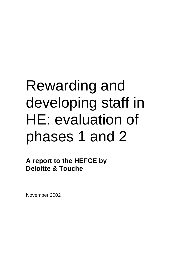# Rewarding and developing staff in HE: evaluation of phases 1 and 2

**A report to the HEFCE by Deloitte & Touche**

November 2002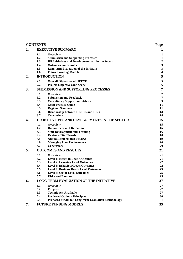|    | <b>CONTENTS</b>                                                                                              | Page                             |
|----|--------------------------------------------------------------------------------------------------------------|----------------------------------|
| 1. | <b>EXECUTIVE SUMMARY</b>                                                                                     | 1                                |
|    | 1.1<br>Overview                                                                                              | 1                                |
|    | 1.2<br><b>Submission and Supporting Processes</b><br>1.3<br>HR Initiatives and Development within the Sector | $\mathbf{1}$<br>$\boldsymbol{2}$ |
|    | 1.4<br><b>Outcomes and Results</b>                                                                           | $\mathbf{3}$                     |
|    | 1.5<br>Long-term Evaluation of the Initiative                                                                | $\mathbf{3}$                     |
|    | 1.6<br><b>Future Funding Models</b>                                                                          | $\overline{\mathbf{4}}$          |
| 2. | <b>INTRODUCTION</b>                                                                                          | 5                                |
|    | 2.1<br><b>Overall Objectives of HEFCE</b>                                                                    | 5                                |
|    | 2.2<br><b>Project Objectives and Scope</b>                                                                   | 6                                |
| 3. | <b>SUBMISSION AND SUPPORTING PROCESSES</b>                                                                   | 7                                |
|    | 3.1<br>Overview<br>3.2<br><b>Submission and Feedback</b>                                                     | 7<br>$\overline{7}$              |
|    | 3.3<br><b>Consultancy Support and Advice</b>                                                                 | $\boldsymbol{9}$                 |
|    | 3.4<br><b>Good Practice Guide</b>                                                                            | 11                               |
|    | 3.5<br><b>Regional Seminars</b>                                                                              | 11                               |
|    | 3.6<br><b>Relationship between HEFCE and HEIs</b><br>3.7<br><b>Conclusions</b>                               | 13<br>14                         |
| 4. | HR INITIATIVES AND DEVELOPMENTS IN THE SECTOR                                                                | 15                               |
|    | 4.1<br>Overview                                                                                              | 15                               |
|    | 4.2<br><b>Recruitment and Retention</b>                                                                      | 15                               |
|    | 4.3<br><b>Staff Development and Training</b>                                                                 | 16                               |
|    | 4.4<br><b>Review of Staff Needs</b><br>4.5<br><b>Annual Performance Reviews</b>                              | 18<br>19                         |
|    | 4.6<br><b>Managing Poor Performance</b>                                                                      | 20                               |
|    | 4.7<br><b>Conclusions</b>                                                                                    | 20                               |
| 5. | <b>OUTCOMES AND RESULTS</b>                                                                                  | 21                               |
|    | 5.1<br>Overview                                                                                              | 21                               |
|    | 5.2<br><b>Level 1: Reaction Level Outcomes</b><br>5.3                                                        | 21<br>22                         |
|    | <b>Level 2: Learning Level Outcomes</b><br>5.4<br><b>Level 3: Behaviour Level Outcomes</b>                   | 22                               |
|    | 5.5<br><b>Level 4: Business Result Level Outcomes</b>                                                        | 23                               |
|    | 5.6<br><b>Level 5: Sector Level Outcomes</b>                                                                 | 25                               |
|    | 5.7<br><b>Risks and Barriers</b>                                                                             | 25                               |
| 6. | <b>LONG-TERM EVALUATION OF THE INITIATIVE</b>                                                                | 27                               |
|    | 6.1<br>Overview<br>6.2<br><b>Purpose</b>                                                                     | 27<br>27                         |
|    | 6.3<br><b>Techniques Available</b>                                                                           | 27                               |
|    | 6.4<br><b>Preferred Option - Principles</b>                                                                  | 30                               |
|    | 6.5<br>Proposed Model for Long-term Evaluation Methodology                                                   | 31                               |
| 7. | <b>FUTURE FUNDING MODELS</b>                                                                                 | 35                               |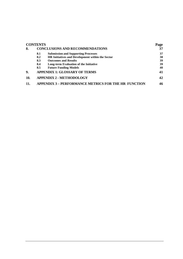|     | CONTENTS |                                                             | Page |
|-----|----------|-------------------------------------------------------------|------|
| 8.  |          | <b>CONCLUSIONS AND RECOMMENDATIONS</b>                      | 37   |
|     | 8.1      | <b>Submission and Supporting Processes</b>                  | 37   |
|     | 8.2      | HR Initiatives and Development within the Sector            | 38   |
|     | 8.3      | <b>Outcomes and Results</b>                                 | 39   |
|     | 8.4      | Long-term Evaluation of the Initiative                      | 39   |
|     | 8.5      | <b>Future Funding Models</b>                                | 40   |
| 9.  |          | <b>APPENDIX 1: GLOSSARY OF TERMS</b>                        | 41   |
| 10. |          | <b>APPENDIX 2 - METHODOLOGY</b>                             | 42   |
|     |          | <b>APPENDIX 3 - PERFORMANCE METRICS FOR THE HR FUNCTION</b> | 46   |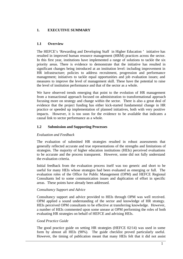# **1. EXECUTIVE SUMMARY**

# **1.1 Overview**

The HEFCE's 'Rewarding and Developing Staff in Higher Education ' initiative has resulted in improved human resource management (HRM) practices across the sector. In this first year, institutions have implemented a range of solutions to tackle the six priority areas. There is evidence to demonstrate that the initiative has resulted in significant changes being introduced at an institution level: including improvement in HR infrastructure; policies to address recruitment, progression and performance management; initiatives to tackle equal opportunities and job evaluation issues; and measures to improve the level of management skill. These have the potential to raise the level of institution performance and that of the sector as a whole.

We have observed trends emerging that point to the evolution of HR management from a transactional approach focused on administration to transformational approach focusing more on strategy and change within the sector. There is also a great deal of evidence that the project funding has either kick-started fundamental change in HR practice or speeded up implementation of planned initiatives, both with very positive impacts. However, it is too soon for the evidence to be available that indicates a causal link to sector performance as a whole.

# **1.2 Submission and Supporting Processes**

# *Evaluation and Feedback*

The evaluation of submitted HR strategies resulted in robust assessments that generally reflected accurate and true representations of the strengths and limitations of strategies. The majority of higher education institutions (HEIs) perceived evaluations to be accurate and the process transparent. However, some did not fully understand the evaluation criteria.

Initial feedback from the evaluation process itself was too generic and short to be useful for many HEIs whose strategies had been evaluated as emerging or full. The evaluation roles of the Office for Public Management (OPM) and HEFCE Regional Consultants led to some communication issues and duplication of effort in specific areas. These points have already been addressed.

# *Consultancy Support and Advice*

Consultancy support and advice provided to HEIs through OPM was well received. OPM applied a sound understanding of the sector and knowledge of HR strategy. HEIs perceived OPM consultants to be effective at transferring knowledge. However, a number of HEIs commented upon some unease at OPM performing the roles of both evaluating HR strategies on behalf of HEFCE and advising HEIs.

# *Good Practice Guide*

The good practice guide on setting HR strategies (HEFCE 02/14) was used in some form by almost all HEIs (90%). The guide checklist proved particularly useful. However, the timing of publication meant that many HEIs felt that it did not assist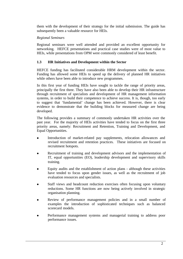them with the development of their strategy for the initial submission. The guide has subsequently been a valuable resource for HEIs.

#### *Regional Seminars*

Regional seminars were well attended and provided an excellent opportunity for networking. HEFCE presentations and practical case studies were of most value to HEIs, while presentations from OPM were commonly considered of least benefit.

## **1.3 HR Initiatives and Development within the Sector**

HEFCE funding has facilitated considerable HRM development within the sector. Funding has allowed some HEIs to speed up the delivery of planned HR initiatives while others have been able to introduce new programmes.

In this first year of funding HEIs have sought to tackle the range of priority areas, principally the first three. They have also been able to develop their HR infrastructure through recruitment of specialists and development of HR management information systems, in order to build their competence to achieve success. It is, though, too early to suggest that 'fundamental' change has been achieved. However, there is clear evidence to demonstrate that the building blocks for measured change are being developed.

The following provides a summary of commonly undertaken HR activities over the past year. For the majority of HEIs activities have tended to focus on the first three priority areas, namely: Recruitment and Retention, Training and Development, and Equal Opportunities.

- Introduction of market-related pay supplements, relocation allowances and revised recruitment and retention practices. These initiatives are focused on recruitment hotspots.
- Recruitment of training and development advisors and the implementation of IT, equal opportunities (EO), leadership development and supervisory skills training.
- Equity audits and the establishment of action plans although these activities have tended to focus upon gender issues, as well as the recruitment of job evaluation resources and specialists.
- Staff views and headcount reduction exercises often focusing upon voluntary reductions. Some HR functions are now being actively involved in strategic organisation planning.
- Review of performance management policies and in a small number of examples the introduction of sophisticated techniques such as balanced scorecard models.
- <sup>l</sup> Performance management systems and managerial training to address poor performance issues.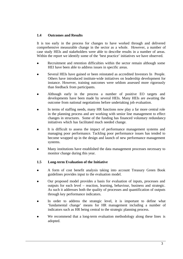# **1.4 Outcomes and Results**

It is too early in the process for changes to have worked through and delivered comprehensive measurable change in the sector as a whole. However, a number of case study HEIs and stakeholders were able to describe results in a number of areas. Within the report we identify some of the 'best practice' initiatives we have observed.

- Recruitment and retention difficulties within the sector remain although some HEI have been able to address issues in specific areas.
- <sup>l</sup> Several HEIs have gained or been reinstated as accredited Investors In People. Others have introduced institute-wide initiatives on leadership development for instance. However, training outcomes were seldom assessed more rigorously than feedback from participants.
- <sup>l</sup> Although early in the process a number of positive EO targets and developments have been made by several HEIs. Many HEIs are awaiting the outcome from national negotiations before undertaking job evaluation.
- In terms of staffing needs, many HR functions now play a far more central role in the planning process and are working with senior line management to effect changes in structures. Some of the funding has financed voluntary redundancy initiatives which has facilitated much needed change.
- It is difficult to assess the impact of performance management systems and managing poor performance. Tackling poor performance issues has tended to become wrapped up in the design and launch of new performance management systems.
- <sup>l</sup> Many institutions have established the data management processes necessary to monitor change during this year.

# **1.5 Long-term Evaluation of the Initiative**

- <sup>l</sup> A form of cost benefit analysis taking into account Treasury Green Book guidelines provides input to the evaluation model.
- <sup>l</sup> Our proposed model provides a basis for evaluation of inputs, processes and outputs for each level – reaction, learning, behaviour, business and strategic. As such it addresses both the quality of processes and quantification of outputs through key performance indicators.
- In order to address the strategic level, it is important to define what 'fundamental change' means for HR management including a number of indicators such as HR being central to the strategic planning process.
- We recommend that a long-term evaluation methodology along these lines is adopted.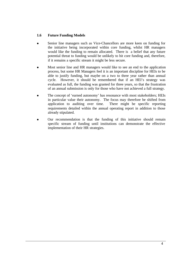# **1.6 Future Funding Models**

- Senior line managers such as Vice-Chancellors are more keen on funding for the initiative being incorporated within core funding, whilst HR managers would like the funding to remain allocated. There is a belief that any future potential threat to funding would be unlikely to hit core funding and, therefore, if it remains a specific stream it might be less secure.
- <sup>l</sup> Most senior line and HR managers would like to see an end to the application process, but some HR Managers feel it is an important discipline for HEIs to be able to justify funding, but maybe on a two to three year rather than annual cycle. However, it should be remembered that if an HEI's strategy was evaluated as full, the funding was granted for three years, so that the frustration of an annual submission is only for those who have not achieved a full strategy.
- The concept of 'earned autonomy' has resonance with most stakeholders; HEIs in particular value their autonomy. The focus may therefore be shifted from application to auditing over time. There might be specific reporting requirements detailed within the annual operating report in addition to those already stipulated.
- Our recommendation is that the funding of this initiative should remain specific stream of funding until institutions can demonstrate the effective implementation of their HR strategies.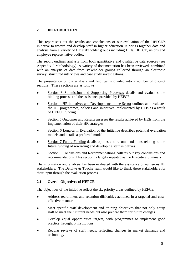# **2. INTRODUCTION**

This report sets out the results and conclusions of our evaluation of the HEFCE's initiative to reward and develop staff in higher education. It brings together data and analysis from a variety of HE stakeholder groups including HEIs, HEFCE, unions and employee representative bodies.

The report outlines analysis from both quantitative and qualitative data sources (see Appendix 2 Methodology). A variety of documentation has been reviewed, combined with an analysis of data from stakeholder groups collected through an electronic survey, structured interviews and case study investigations.

The presentation of our analysis and findings is divided into a number of distinct sections. These sections are as follows:

- <sup>l</sup> Section 3 Submission and Supporting Processes details and evaluates the bidding process and the assistance provided by HEFCE
- Section 4 HR initiatives and Developments in the Sector outlines and evaluates the HR programmes, policies and initiatives implemented by HEIs as a result of HEFCE funding
- Section 5 Outcomes and Results assesses the results achieved by HEIs from the implementation of their HR strategies
- Section 6 Long-term Evaluation of the Initiative describes potential evaluation models and details a preferred model
- Section 7 Future Funding details options and recommendations relating to the future funding of rewarding and developing staff initiatives
- Section 8 Conclusions and Recommendations collates our key conclusions and recommendations. This section is largely repeated as the Executive Summary.

The information and analysis has been evaluated with the assistance of numerous HE stakeholders. The Deloitte & Touche team would like to thank these stakeholders for their input through the evaluation process.

# **2.1 Overall Objectives of HEFCE**

The objectives of the initiative reflect the six priority areas outlined by HEFCE:

- Address recruitment and retention difficulties actioned in a targeted and costeffective manner
- Meet specific staff development and training objectives that not only equip staff to meet their current needs but also prepare them for future changes
- <sup>l</sup> Develop equal opportunities targets, with programmes to implement good practice throughout institutions
- Regular reviews of staff needs, reflecting changes in market demands and technology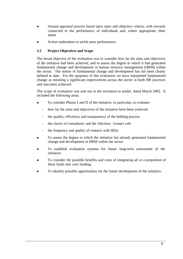- <sup>l</sup> Annual appraisal process based upon open and objective criteria, with rewards connected to the performance of individuals and, where appropriate, their teams
- Action undertaken to tackle poor performance.

# **2.2 Project Objectives and Scope**

The broad objective of the evaluation was to consider how far the aims and objectives of the initiative had been achieved, and to assess the degree to which it had generated fundamental change and development in human resource management (HRM) within the sector. The notion of fundamental change and development has not been clearly defined to date. For the purposes of this evaluation we have interpreted fundamental change as meaning a significant improvement across the sector in both HR practices and outcomes achieved.

The scope of evaluation was sent out in the invitation to tender, dated March 2002. It included the following areas.

- To consider Phases I and II of the initiative, in particular, to evaluate:
	- how far the aims and objectives of the initiative have been achieved
	- the quality, efficiency and transparency of the bidding process
	- the clarity of consultants' and the Advisory Group's role
	- the frequency and quality of contacts with HEIs.
- To assess the degree to which the initiative has already generated fundamental change and development in HRM within the sector.
- To establish evaluation systems for future long-term assessment of the initiative.
- To consider the possible benefits and costs of integrating all or a proportion of these funds into core funding.
- To identify possible opportunities for the future development of the initiative.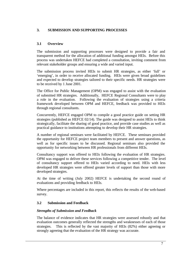# **3. SUBMISSION AND SUPPORTING PROCESSES**

# **3.1 Overview**

The submission and supporting processes were designed to provide a fair and transparent method for the allocation of additional funding amongst HEIs. Before this process was undertaken HEFCE had completed a consultation, inviting comment from relevant stakeholder groups and ensuring a wide and varied input.

The submission process invited HEIs to submit HR strategies, as either 'full' or 'emerging', in order to receive allocated funding. HEIs were given broad guidelines and expected to develop strategies tailored to their specific needs. HR strategies were to be received by 1 June 2001.

The Office for Public Management (OPM) was engaged to assist with the evaluation of submitted HR strategies. Additionally, HEFCE Regional Consultants were to play a role in the evaluation. Following the evaluation of strategies using a criteria framework developed between OPM and HEFCE, feedback was provided to HEIs through regional consultants.

Concurrently, HEFCE engaged OPM to compile a good practice guide on setting HR strategies (published as HEFCE 02/14). The guide was designed to assist HEIs to think strategically, facilitate the sharing of good practice, and provide case studies as well as practical guidance to institutions attempting to develop their HR strategies.

A number of regional seminars were facilitated by HEFCE. These seminars provided the opportunity for HEFCE project team members to present and answer questions, as well as for specific issues to be discussed. Regional seminars also provided the opportunity for networking between HR professionals from different HEIs.

Consultancy support was offered to HEIs following the evaluation of HR strategies. OPM was engaged to deliver these services following a competitive tender. The level of consultancy support offered to HEIs varied according to need. HEIs with less developed HR strategies were offered greater levels of support than those with more developed strategies.

At the time of writing (July 2002) HEFCE is undertaking the second round of evaluations and providing feedback to HEIs.

Where percentages are included in this report, this reflects the results of the web-based survey.

# **3.2 Submission and Feedback**

# *Strengths of Submission and Feedback*

The balance of evidence indicates that HR strategies were assessed robustly and that evaluation outcomes generally reflected the strengths and weaknesses of each of those strategies. This is reflected by the vast majority of HEIs (82%) either agreeing or strongly agreeing that the evaluation of the HR strategy was accurate.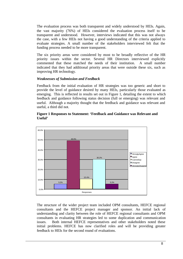The evaluation process was both transparent and widely understood by HEIs. Again, the vast majority (76%) of HEIs considered the evaluation process itself to be transparent and understood. However, interviews indicated that this was not always the case, with a few HEIs not having a good understanding of the criteria applied to evaluate strategies. A small number of the stakeholders interviewed felt that the funding process needed to be more transparent.

The six priority areas were considered by most to be broadly reflective of the HR priority issues within the sector. Several HR Directors interviewed explicitly commented that these matched the needs of their institution. A small number indicated that they had additional priority areas that were outside these six, such as improving HR technology.

#### *Weaknesses of Submission and Feedback*

Feedback from the initial evaluation of HR strategies was too generic and short to provide the level of guidance desired by many HEIs, particularly those evaluated as emerging. This is reflected in results set out in Figure 1, detailing the extent to which feedback and guidance following status decision (full or emerging) was relevant and useful. Although a majority thought that the feedback and guidance was relevant and useful, a third did not.

#### **Figure 1 Responses to Statement: 'Feedback and Guidance was Relevant and Useful'**



The structure of the wider project team included OPM consultants, HEFCE regional consultants and the HEFCE project manager and sponsor. An initial lack of understanding and clarity between the role of HEFCE regional consultants and OPM consultants in evaluating HR strategies led to some duplication and communication issues. Both internal HEFCE representatives and other stakeholders noted these initial problems. HEFCE has now clarified roles and will be providing greater feedback to HEIs for the second round of evaluations*.*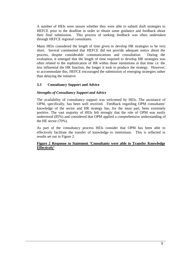A number of HEIs were unsure whether they were able to submit draft strategies to HEFCE prior to the deadline in order to obtain some guidance and feedback about their final submission. This process of seeking feedback was often undertaken through HEFCE regional consultants.

Many HEIs considered the length of time given to develop HR strategies to be very short. Several commented that HEFCE did not provide adequate notice about the process, despite considerable communications and consultation. During the evaluation, it emerged that the length of time required to develop HR strategies was often related to the sophistication of HR within those institutions at that time i.e. the less influential the HR function, the longer it took to produce the strategy. However, to accommodate this, HEFCE encouraged the submission of emerging strategies rather than delaying the initiative

#### **3.3 Consultancy Support and Advice**

#### *Strengths of Consultancy Support and Advice*

The availability of consultancy support was welcomed by HEIs. The assistance of OPM, specifically, has been well received. Feedback regarding OPM consultants' knowledge of the sector and HR strategy has, for the most part, been extremely positive. The vast majority of HEIs felt strongly that the role of OPM was easily understood (85%) and considered that OPM applied a comprehensive understanding of the HE sector (70%).

As part of the consultancy process HEIs consider that OPM has been able to effectively facilitate the transfer of knowledge to institutions. This is reflected in results set out in Figure 2.

#### **Figure 2 Response to Statement 'Consultants were able to Transfer Knowledge Effectively'**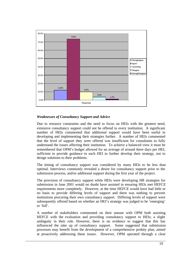

# *Weaknesses of Consultancy Support and Advice*

Due to resource constraints and the need to focus on HEIs with the greatest need, extensive consultancy support could not be offered to every institution. A significant number of HEIs commented that additional support would have been useful in developing and implementing their strategies further. A number of HEIs commented that the level of support they were offered was insufficient for consultants to fully understand the issues affecting their institution. To achieve a balanced view it must be remembered that OPM's budget allowed for an average of around three days per HEI, sufficient to provide guidance to each HEI to further develop their strategy, not to design solutions to their problems.

The timing of consultancy support was considered by many HEIs to be less than optimal. Interviews commonly revealed a desire for consultancy support prior to the submission process, and/or additional support during the first year of the project.

The provision of consultancy support while HEIs were developing HR strategies for submission in June 2001 would no doubt have assisted in ensuring HEIs met HEFCE requirements more completely. However, at the time HEFCE would have had little or no basis to provide differing levels of support and there was nothing to prevent institutions procuring their own consultancy support. Differing levels of support were subsequently offered based on whether an HEI's strategy was judged to be 'emerging' or 'full'.

A number of stakeholders commented on their unease with OPM both assisting HEFCE with the evaluation and providing consultancy support to HEIs; a slight ambiguity in their role. However, there is no evidence to suggest that this has influenced the take up of consultancy support. Some suggested that submission processes may benefit from the development of a comprehensive probity plan, aimed at proactively addressing these issues. However, OPM operated through a clear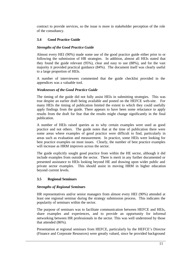contract to provide services, so the issue is more in stakeholder perception of the role of the consultancy.

# **3.4 Good Practice Guide**

## *Strengths of the Good Practice Guide*

Almost every HEI (90%) made some use of the good practice guide either prior to or following the submission of HR strategies. In addition, almost all HEIs stated that they found the guide relevant (95%), clear and easy to use (88%), and for the vast majority it provided practical guidance (84%). The document itself was clearly useful to a large proportion of HEIs.

A number of interviewees commented that the guide checklist provided in the appendices was a valuable tool.

#### *Weaknesses of the Good Practice Guide*

The timing of the guide did not fully assist HEIs in submitting strategies. This was true despite an earlier draft being available and posted on the HEFCE web-site. For many HEIs the timing of publication limited the extent to which they could usefully apply findings from the guide. There appears to have been some reluctance to apply results from the draft for fear that the results might change significantly in the final publication.

A number of HEIs raised queries as to why certain examples were used as good practice and not others. The guide notes that at the time of publication there were some areas where examples of good practice were difficult to find, particularly in areas such as evaluation and measurement. In practice, some HEIs were looking for best practice examples on most issues. Clearly, the number of best practice examples will increase as HRM improves across the sector.

The guide explicitly sought good practice from within the HE sector, although it did include examples from outside the sector. There is merit in any further documented or presented assistance to HEIs looking beyond HE and drawing upon wider public and private sector examples. This should assist in moving HRM in higher education beyond current levels.

# **3.5 Regional Seminars**

# *Strengths of Regional Seminars*

HR representatives and/or senior managers from almost every HEI (90%) attended at least one regional seminar during the strategy submission process. This indicates the popularity of seminars within the sector.

The purpose of seminars was to facilitate communication between HEFCE and HEIs, share examples and experiences, and to provide an opportunity for informal networking between HR professionals in the sector. This was well understood by those that attended (86%).

Presentation at regional seminars from HEFCE, particularly by the HEFCE's Director (Finance and Corporate Resources) were greatly valued, since he provided background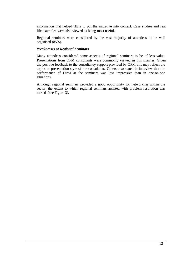information that helped HEIs to put the initiative into context. Case studies and real life examples were also viewed as being most useful.

Regional seminars were considered by the vast majority of attendees to be well organised (85%).

#### *Weaknesses of Regional Seminars*

Many attendees considered some aspects of regional seminars to be of less value. Presentations from OPM consultants were commonly viewed in this manner. Given the positive feedback to the consultancy support provided by OPM this may reflect the topics or presentation style of the consultants. Others also stated in interview that the performance of OPM at the seminars was less impressive than in one-on-one situations.

Although regional seminars provided a good opportunity for networking within the sector, the extent to which regional seminars assisted with problem resolution was mixed (see Figure 3).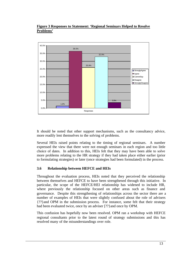# **Figure 3 Responses to Statement: 'Regional Seminars Helped to Resolve Problems'**



It should be noted that other support mechanisms, such as the consultancy advice, more readily lent themselves to the solving of problems.

Several HEIs raised points relating to the timing of regional seminars. A number expressed the view that there were not enough seminars in each region and too little choice of dates. In addition to this, HEIs felt that they may have been able to solve more problems relating to the HR strategy if they had taken place either earlier (prior to formulating strategies) or later (once strategies had been formulated) in the process.

# **3.6 Relationship between HEFCE and HEIs**

Throughout the evaluation process, HEIs noted that they perceived the relationship between themselves and HEFCE to have been strengthened through this initiative. In particular, the scope of the HEFCE/HEI relationship has widened to include HR, where previously the relationship focused on other areas such as finance and governance. Despite this strengthening of relationships across the sector there are a number of examples of HEIs that were slightly confused about the role of advisers {??}and OPM in the submission process. For instance, some felt that their strategy had been evaluated twice, once by an adviser [??} and once by OPM.

This confusion has hopefully now been resolved. OPM ran a workshop with HEFCE regional consultants prior to the latest round of strategy submissions and this has resolved many of the misunderstandings over role.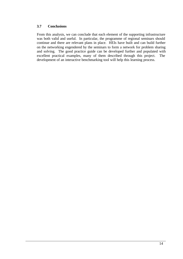# **3.7 Conclusions**

From this analysis, we can conclude that each element of the supporting infrastructure was both valid and useful. In particular, the programme of regional seminars should continue and there are relevant plans in place. HEIs have built and can build further on the networking engendered by the seminars to form a network for problem sharing and solving. The good practice guide can be developed further and populated with excellent practical examples, many of them described through this project. The development of an interactive benchmarking tool will help this learning process.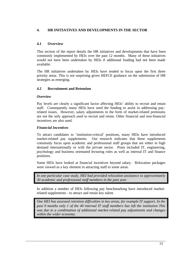# **4. HR INITIATIVES AND DEVELOPMENTS IN THE SECTOR**

# **4.1 Overview**

This section of the report details the HR initiatives and developments that have been commonly implemented by HEIs over the past 12 months. Many of these initiatives would not have been undertaken by HEIs if additional funding had not been made available.

The HR initiatives undertaken by HEIs have tended to focus upon the first three priority areas. This is not surprising given HEFCE guidance on the submission of HR strategies as emerging.

# **4.2 Recruitment and Retention**

#### *Overview*

Pay levels are clearly a significant factor affecting HEIs' ability to recruit and retain staff. Consequently many HEIs have used the funding to assist in addressing payrelated issues. However, salary adjustments in the form of market-related premiums are not the only approach used to recruit and retain. Other financial and non-financial incentives are also used.

#### *Financial Incentives*

To attract candidates to 'institution-critical' positions, many HEIs have introduced market-related pay supplements. Our research indicates that these supplements commonly focus upon academic and professional staff groups that are either in high demand internationally or with the private sector. Posts included IT, engineering, psychology and business orientated lecturing roles as well as internal IT and finance positions.

Some HEIs have looked at financial incentives beyond salary. Relocation packages were viewed as a key element in attracting staff to some areas.

*In one particular case study, HEI had provided relocation assistance to approximately 30 academic and professional staff members in the past year.*

In addition a number of HEIs following pay benchmarking have introduced marketrelated supplements - to attract and retain key talent.

*One HEI has assessed retention difficulties in key areas, for example IT support. In the past 9 months only 1 of the 40 internal IT staff members has left the institution This was due to a combination of additional market-related pay adjustments and changes within the wider economy.*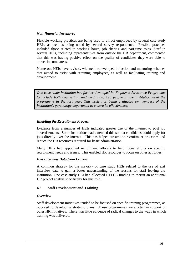## *Non-financial Incentives*

Flexible working practices are being used to attract employees by several case study HEIs, as well as being noted by several survey respondents. Flexible practices included those related to working hours, job sharing and part-time roles. Staff in several HEIs, including representatives from outside the HR department, commented that this was having positive effect on the quality of candidates they were able to attract in some areas.

Numerous HEIs have revised, widened or developed induction and mentoring schemes that aimed to assist with retaining employees, as well as facilitating training and development.

*One case study institution has further developed its Employee Assistance Programme to include both counselling and mediation. 196 people in the institution used the programme in the last year. This system is being evaluated by members of the institution's psychology department to ensure its effectiveness.*

#### *Enabling the Recruitment Process*

Evidence from a number of HEIs indicated greater use of the Internet to post job advertisements. Some institutions had extended this so that candidates could apply for jobs directly over the internet. This has helped streamline recruitment processes and reduce the HR resources required for basic administration.

Many HEIs had appointed recruitment officers to help focus efforts on specific recruitment needs and issues. This enabled HR resources to focus on other activities.

# *Exit Interview Data from Leavers*

A common strategy for the majority of case study HEIs related to the use of exit interview data to gain a better understanding of the reasons for staff leaving the institution. One case study HEI had allocated HEFCE funding to recruit an additional HR project analyst specifically for this role.

# **4.3 Staff Development and Training**

#### *Overview*

Staff development initiatives tended to be focused on specific training programmes, as opposed to developing strategic plans. These programmes were often in support of other HR initiatives. There was little evidence of radical changes to the ways in which training was delivered.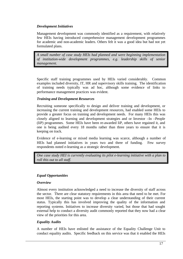# *Development Initiatives*

Management development was commonly identified as a requirement, with relatively few HEIs having introduced comprehensive management development programmes for academic and non-academic leaders. Others felt it was a good idea but had not yet formulated plans.

*A small number of case study HEIs had planned and were beginning implementation of institution-wide development programmes, e.g. leadership skills of senior management.*

Specific staff training programmes used by HEIs varied considerably. Common examples included diversity, IT, HR and supervisory skills training. The identification of training needs typically was ad hoc, although some evidence of links to performance management practices was evident.

# *Training and Development Resources*

Recruiting someone specifically to design and deliver training and development, or increasing the current training and development resources, had enabled some HEIs to provide a greater focus on training and development needs. For many HEIs this was closely aligned to learning and development strategies and or Investor –In –People (IiP) programmes. Some HEIs have been re-awarded IiP, others have regained it, and one is being audited every 18 months rather than three years to ensure that it is keeping on track.

Evidence of e-learning or mixed media learning was scarce, although a number of HEIs had planned initiatives in years two and three of funding. Few survey respondents noted e-learning as a strategic development.

*One case study HEI is currently evaluating its pilot e-learning initiative with a plan to roll this out to all staff.*

# *Equal Opportunities*

# *Overview*

Almost every institution acknowledged a need to increase the diversity of staff across the sector. There are clear statutory requirements in this area that need to be met. For most HEIs, the starting point was to develop a clear understanding of their current status. Typically this has involved improving the quality of the information and reporting systems. Initiatives to increase diversity varied, but those that had sought external help to conduct a diversity audit commonly reported that they now had a clear view of the priorities for this area.

# *Equality Audits*

A number of HEIs have enlisted the assistance of the Equality Challenge Unit to conduct equality audits. Specific feedback on this service was that it enabled the HEIs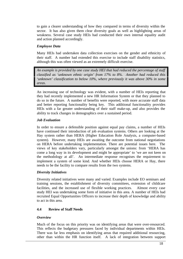to gain a clearer understanding of how they compared in terms of diversity within the sector. It has also given them clear diversity goals as well as highlighting areas of weakness. Several case study HEIs had conducted their own internal equality audit and action planned accordingly.

#### *Employee Data*

Many HEIs had undertaken data collection exercises on the gender and ethnicity of their staff. A number had extended this exercise to include staff disability statistics, although this was often viewed as an extremely difficult exercise.

*An example is provided by one case study HEI that had reduced the percentage of staff classified as 'unknown ethnic origin' from 17% to 8%. Another had reduced this 'unknown' classification to below 10%, where previously it was above 30% in some areas*.

An increasing use of technology was evident, with a number of HEIs reporting that they had recently implemented a new HR Information System or that they planned to do so in the future. A number of benefits were reported, with more accurate staff data and better reporting functionality being key. This additional functionality provides HEIs with a far greater understanding of their staff make-up, and also provides the ability to track changes in demographics over a sustained period.

#### *Job Evaluation*

In order to ensure a defensible position against equal pay claims, a number of HEIs have continued their introduction of job evaluation systems. Others are looking at the Hay system rather than HERA (Higher Education Role Analysis, a computer-based system). However, many HEIs are awaiting the outcome from national negotiations on HERA before undertaking implementation. There are potential issues here. The views of key stakeholders vary, particularly amongst the unions: from 'HERA has come a long way in its development and might be appropriate' to 'we are not keen on the methodology at all'. An intermediate response recognises the requirement to implement a system of some kind. And whether HEIs choose HERA or Hay, there needs to be the facility to compare results from the two systems.

# *Diversity Initiatives*

Diversity related initiatives were many and varied. Examples include EO seminars and training sessions, the establishment of diversity committees, extension of childcare facilities, and the increased use of flexible working practices. Almost every case study HEI was undertaking some form of initiative in this area. A number of HEIs had recruited Equal Opportunities Officers to increase their depth of knowledge and ability to act in this area.

# **4.4 Review of Staff Needs**

#### *Overview*

Much of the focus on this priority was on identifying areas that were over-resourced. This reflects the budgetary pressures faced by individual departments within HEIs. There was far less emphasis on identifying areas that required additional resourcing, other than within the HR function itself. A lack of integration between support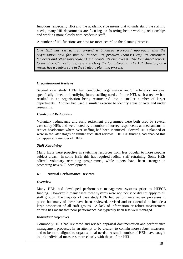functions (especially HR) and the academic side means that to understand the staffing needs, many HR departments are focusing on fostering better working relationships and working more closely with academic staff.

A number of HR functions are now far more central to the planning process.

*One HEI has restructured around a balanced scorecard approach, with the organisation now focusing on finance, its products (courses etc), its customers (students and other stakeholders) and people (its employees). The four direct reports to the Vice Chancellor represent each of the four streams. The HR Director, as a result, has a central role in the strategic planning process.*

#### *Organisational Reviews*

Several case study HEIs had conducted organisation and/or efficiency reviews, specifically aimed at identifying future staffing needs. In one HEI, such a review had resulted in an organisation being restructured into a smaller number of larger departments. Another had used a similar exercise to identify areas of over and under resourcing.

#### *Headcount Reductions*

Voluntary redundancy and early retirement programmes were both used by several case study HEIs and were noted by a number of survey respondents as mechanisms to reduce headcounts where over-staffing had been identified. Several HEIs planned or were in the later stages of similar such staff reviews. HEFCE funding had enabled this to happen at a number of HEIs.

# *Staff Retraining*

Many HEIs were proactive in switching resources from less popular to more popular subject areas. In some HEIs this has required radical staff retraining. Some HEIs offered voluntary retraining programmes, while others have been stronger in promoting new skill development.

# **4.5 Annual Performance Reviews**

#### *Overview*

Many HEIs had developed performance management systems prior to HEFCE funding. However in many cases these systems were not robust or did not apply to all staff groups. The majority of case study HEIs had performance review processes in place, but many of these have been reviewed, revised and or extended to include a large proportion of all staff groups. A lack of information or robust measurement criteria has meant that poor performance has typically been less well managed.

# *Individual Objectives*

Commonly HEIs had reviewed and revised appraisal documentation and performance management processes in an attempt to be clearer, to contain more robust measures, and to be more aligned to organisational needs. A small number of HEIs have sought to link individual measures more closely with those of the HEI.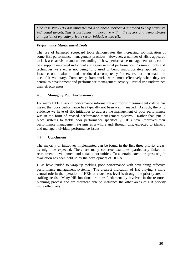*One case study HEI has implemented a balanced scorecard approach to help structure individual targets*. *This is particularly innovative within the sector and demonstrates an infusion of typically private sector initiatives into HE.*

# *Performance Management Tools*

The use of balanced scorecard tools demonstrates the increasing sophistication of some HEI performance management practices. However, a number of HEIs appeared to lack a clear vision and understanding of how performance management tools could best support improved individual and organisational performance. Common tools and techniques were either not being fully used or being inappropriately applied. For instance, one institution had introduced a competency framework, but then made the use of it voluntary. Competency frameworks work most effectively when they are central to development and performance management activity. Partial use undermines their effectiveness.

# **4.6 Managing Poor Performance**

For many HEIs a lack of performance information and robust measurement criteria has meant that poor performance has typically not been well managed. As such, the only evidence we have of HR initiatives to address the management of poor performance was in the form of revised performance management systems. Rather than put in place systems to tackle poor performance specifically, HEIs have improved their performance management systems as a whole and, through this, expected to identify and manage individual performance issues.

# **4.7 Conclusions**

The majority of initiatives implemented can be found in the first three priority areas, as might be expected. There are many concrete examples, particularly linked to recruitment, development and equal opportunities. To a certain extent, progress on job evaluation has been held up by the development of HERA.

HEIs have tended to wrap up tackling poor performance with developing effective performance management systems. The clearest indication of HR playing a more central role in the operation of HEIs at a business level is through the priority area of staffing needs. Many HR functions are now fundamentally involved in the resource planning process and are therefore able to influence the other areas of HR priority more effectively.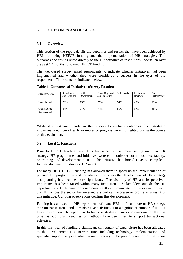# **5. OUTCOMES AND RESULTS**

# **5.1 Overview**

This section of the report details the outcomes and results that have been achieved by HEIs following HEFCE funding and the implementation of HR strategies. The outcomes and results relate directly to the HR activities of institutions undertaken over the past 12 months following HEFCE funding.

The web-based survey asked respondents to indicate whether initiatives had been implemented and whether they were considered a success in the eyes of the respondent. The results are indicated below.

| Priority Area            | Recruitment<br>and Retention | Staff<br>Development | Equal Opps and<br><b>Job Evaluation</b> | <b>Staff Needs</b> | Performance<br><b>Reviews</b> | Poor<br>Performance |
|--------------------------|------------------------------|----------------------|-----------------------------------------|--------------------|-------------------------------|---------------------|
| Introduced               | 76%                          | 75%                  | 75%                                     | 56%                | 48%                           | 43%                 |
| Considered<br>Successful | 87%                          | 97%                  | 77%                                     | 81%                | 87%                           | 68%                 |

**Table 1. Outcomes of Initiatives (Survey Results)**

While it is extremely early in the process to evaluate outcomes from strategic initiatives, a number of early examples of progress were highlighted during the course of this evaluation.

# **5.2 Level 1: Reactions**

Prior to HEFCE funding, few HEIs had a central document setting out their HR strategy. HR programmes and initiatives were commonly set out in business, faculty, or training and development plans. This initiative has forced HEIs to compile a focused document of strategic HR intent.

For many HEIs, HEFCE funding has allowed them to speed up the implementation of planned HR programmes and initiatives. For others the development of HR strategy and planning has become more significant. The visibility of HR and its perceived importance has been raised within many institutions. Stakeholders outside the HR departments of HEIs commonly and consistently communicated to the evaluation team that HR across the sector has received a significant increase in profile as a result of this initiative. Our own observations confirm this development.

Funding has allowed the HR departments of many HEIs to focus more on HR strategy than on transactional and administrative activities. For a significant number of HEIs it has allowed their HR department to focus on strategic issues and concerns for the first time, as additional resources or methods have been used to support transactional activities.

In this first year of funding a significant component of expenditure has been allocated to the development HR infrastructure, including technology implementation and specialist support on job evaluation and diversity. The previous section of the report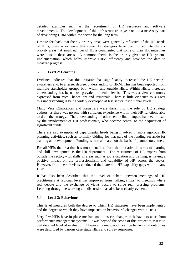detailed examples such as the recruitment of HR resources and software developments. The development of this infrastructure in year one is a necessary part of developing HRM within the sector for the long term.

Despite feedback that the six priority areas were generally reflective of the HR needs of HEIs, there is evidence that some HR strategies have been forced into the six priority areas. A small number of HEIs commented that some of their HR initiatives were outside these areas. A common theme is the priority given to HR systems implementation, which helps improve HRM efficiency and provides the data to measure progress.

# **5.3 Level 2: Learning**

Evidence indicates that this initiative has significantly increased the HE sector's awareness and, to a lesser degree, understanding of HRM. This has been reported from multiple stakeholder groups both within and outside HEIs. Within HEIs, increased understanding has been most prevalent at senior levels. This was a view commonly expressed from Vice-Chancellors and Principals. There is little evidence to suggest this understanding is being widely developed at less senior institutional levels.

Many Vice Chancellors and Registrars were thrust into the role of HR strategy authors, as there was no-one with sufficient experience within their HR functions able to draft the strategy. The understanding of other senior line mangers has been raised by the involvement of HR professionals, who became central to the acquisition of significant funds.

There are also examples of departmental heads being involved in more rigorous HR planning activities, such as formally bidding for that part of the funding set aside for training and development. Funding is then allocated on the basis of planned outcomes.

For all HEIs the area that has most benefited from this initiative in terms of learning and skill development is the HR department. The recruitment of HR experts from outside the sector, with skills in areas such as job evaluation and training, is having a positive impact on the professionalism and capability of HR across the sector. However, from the site visits conducted there are still HR capability gaps within many HEIs.

It has also been described that the level of debate between meetings of HR practitioners at regional level has improved from 'talking shops' to meetings where real debate and the exchange of views occurs to solve real, pressing problems. Learning through networking and discussion has also been clearly evident.

# **5.4 Level 3: Behaviour**

This level measures both the degree to which HR strategies have been implemented and the degree to which they have impacted on behavioural changes within HEIs.

Very few HEIs have in place mechanisms to assess changes in behaviours apart from performance management systems. It was beyond the scope of this project to assess to that detailed level of evaluation. However, a number of positive behavioural outcomes were described by various case study HEIs and survey responses.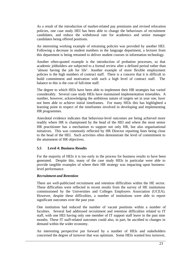As a result of the introduction of market-related pay premiums and revised relocation policies, one case study HEI has been able to change the behaviours of recruitment candidates, and reduce the withdrawal rate for academics and senior manager candidates being offered positions.

An interesting working example of retraining policies was provided by another HEI. Following a decrease in student numbers in the language department, a lecturer from this department is being retrained to deliver student courses in information technology.

Another often-quoted example is the introduction of probation processes, so that academic jobholders are subjected to a formal review after a defined period rather than 'almost having the job for life'. Another example of more flexible employment policies is the high numbers of contract staff. There is a concern that it is difficult to build commitment and motivation with such a high level of contract staff. The balance to this is the cost of full-time staff.

The degree to which HEIs have been able to implement their HR strategies has varied considerably. Several case study HEIs have maintained implementation timetables. A number, however, acknowledging the ambitious nature of targets set in year one, have not been able to achieve initial timeframes. For many HEIs this has highlighted a learning point in respect of the timeframes involved in developing and implementing HR programmes.

Anecdotal evidence indicates that behaviour-level outcomes are being achieved more readily where HR is championed by the head of the HEI and where the most senior HR practitioner has a mechanism to support not only HR, but also organisational initiatives. This was commonly reflected by HR Director reporting lines being close to the head of the HEI. Such activities often demonstrate the level of commitment to the attainment of HR objectives.

#### **5.5 Level 4: Business Results**

For the majority of HEIs it is too early in the process for business results to have been generated. Despite this, many of the case study HEIs in particular were able to provide tangible examples of where their HR strategy was impacting upon businesslevel performance.

#### *Recruitment and Retention*

There are well-publicised recruitment and retention difficulties within the HE sector. These difficulties were reflected in recent results from the survey of HE institutions commissioned by the Universities and Colleges Employers Association (UCEA). However, despite these difficulties, a number of institutions were able to report significant outcomes over the past year.

One institution had reduced the number of vacant positions within a number of faculties. Several had addressed recruitment and retention difficulties related to IT staff, with one HEI having only one member of IT support staff leave in the past nine months. These IT staff-related outcomes could also, in part, be ascribed to changes in demand within the wider economy.

An interesting perspective put forward by a number of HEIs and stakeholders concerned the degree of turnover that was optimum. Some HEIs wanted less turnover,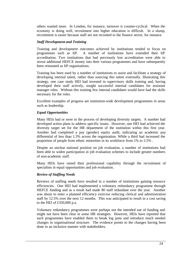others wanted more. In London, for instance, turnover is counter-cyclical. When the economy is doing well, recruitment into higher education is difficult. In a slump, recruitment is easier because staff are not recruited to the finance sector, for instance.

#### *Staff Development and Training*

Training and development outcomes achieved by institutions tended to focus on programmes such as IiP. A number of institutions have extended their IiP accreditation. Two institutions that had previously lost accreditation were able to invest additional HEFCE money into their various programmes and have subsequently been reinstated as IiP organisations.

Training has been used by a number of institutions to assist and facilitate a strategy of developing internal talent, rather than sourcing this talent externally. Illustrating this strategy, one case study HEI had invested in supervisory skills training and, having developed their staff actively, sought successful internal candidates for assistant manager roles. Without this training few internal candidates would have had the skills necessary for the roles.

Excellent examples of progress are institution-wide development programmes in areas such as leadership.

#### *Equal Opportunities*

Many HEIs had or were in the process of developing diversity targets. A number had developed action plans to address specific issues. However, one HEI had achieved the diversity target set for the HR department of the institution within this first year. Another had completed a pay (gender) equity audit, indicating an academic pay differential of less than 1.3% across the organisation. While a third had increased the proportion of people from ethnic minorities in its workforce from 1% to 2.5% .

Despite an unclear national position on job evaluation, a number of institutions had been able to widen participation in job evaluation schemes to include greater numbers of non-academic staff.

Many HEIs have raised their professional capability through the recruitment of specialists in equal opportunities and job evaluation.

#### *Review of Staffing Needs*

Reviews of staffing needs have resulted in a number of institutions gaining resource efficiencies. One HEI had implemented a voluntary redundancy programme through HEFCE funding and as a result had made 80 staff redundant over the year. Another was about to enter a planned efficiency exercise reducing clerical and administration staff by 12.5% over the next 12 months. This was anticipated to result in a cost saving to the HEI of £350,000 p.a.

Voluntary redundancy programmes were perhaps not the intended use of funding and might not have been clear in some HR strategies. However, HEIs have reported that such programmes have enabled them to break log jams and introduce much needed changes in organisational structure. The evidence points to the changes having been done in an inclusive manner with stakeholders.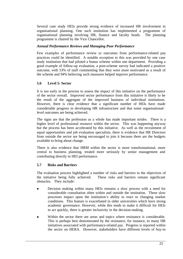Several case study HEIs provide strong evidence of increased HR involvement in organisational planning. One such institution has implemented a programme of organisational planning involving HR, finance and faculty heads. The planning programme is chaired by the Vice Chancellor.

# *Annual Performance Reviews and Managing Poor Performance*

Few examples of performance review or outcomes from performance-related pay practices could be identified. A notable exception to this was provided by one case study institution that had piloted a bonus scheme within one department. Providing a good example of follow-up evaluation, a post-scheme survey had indicated a positive outcome, with 53% of staff commenting that they were more motivated as a result of the scheme and 94% believing such measures helped improve performance.

# **5.6 Level 5: Sector**

It is too early in the process to assess the impact of this initiative on the performance of the sector overall. Improved sector performance from this initiative is likely to be the result of the aggregate of the improved business of individual institutions. However, there is clear evidence that a significant number of HEIs have made considerable progress in developing HR infrastructure and that some organisationallevel outcomes are being achieved.

The signs are that the profession as a whole has made important strides. There is a higher level of professional resource within the sector. This was happening anyway but the process has been accelerated by this initiative. As well as the recruitment of equal opportunities and job evaluation specialists, there is evidence that HR Directors from outside the sector are being encouraged to join it because there are the budgets available to bring about change.

There is also evidence that HRM within the sector is more transformational, more central to business planning, treated more seriously by senior management and contributing directly to HEI performance.

# **5.7 Risks and Barriers**

The evaluation process highlighted a number of risks and barriers to the objectives of the initiative being fully achieved. These risks and barriers remain significant obstacles. They include:

- <sup>l</sup> Decision making within many HEIs remains a slow process with a need for considerable consultation often within and outside the institution. These slow processes impact upon the institution's ability to react to changing market conditions. This feature is exacerbated in older universities which have strong academic governance. However, while this tends to make it difficult for HEIs to act quickly, there is greater inclusivity in the decision-making.
- Within the sector there are areas and topics where resistance is considerable. This is perhaps best demonstrated by the resistance, for instance, to many HR initiatives associated with performance-related pay. Progress is reported within the sector on HERA. However, stakeholders have different levels of buy-in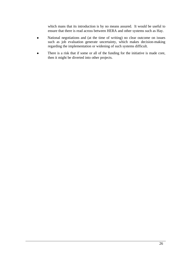which mans that its introduction is by no means assured. It would be useful to ensure that there is read across between HERA and other systems such as Hay.

- National negotiations and (at the time of writing) no clear outcome on issues such as job evaluation generate uncertainty, which makes decision-making regarding the implementation or widening of such systems difficult.
- There is a risk that if some or all of the funding for the initiative is made core, then it might be diverted into other projects.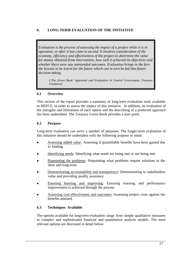# **6. LONG-TERM EVALUATION OF THE INITIATIVE**

*Evaluation is the process of assessing the impact of a project while it is in operation, or after it has come to an end. It involves consideration of the economy, efficiency and effectiveness of the project to determine the value for money obtained from intervention, how well it achieved its objectives and whether there were any unintended outcomes. Evaluation brings to the fore the lessons to be learnt for the future which can in turn be fed into future decision taking.*

*('The Green Book' Appraisal and Evaluation in Central Government, Treasury Guidance)*

# **6.1 Overview**

This section of the report provides a summary of long-term evaluation tools available to HEFCE, in order to assess the impact of this initiative. In addition, an evaluation of the strengths and limitations of each option and the describing of a preferred approach has been undertaken. The Treasury Green Book provides a start point.

# **6.2 Purpose**

Long-term evaluation can serve a number of purposes. The longer-term evaluation of this initiative should be undertaken with the following purpose in mind.

- <sup>l</sup> Assessing added value: Assessing if quantifiable benefits have been gained due to funding.
- Identifying needs: Identifying what needs are being met or not being met.
- Pinpointing the problems: Pinpointing what problems require solutions in the short and long-term.
- Demonstrating accountability and transparency: Demonstrating to stakeholders value and providing quality assurance
- <sup>l</sup> Ensuring learning and improving: Ensuring learning and performance improvement is achieved through the process
- Assessing cost effectiveness and outcomes: Assessing project costs against the benefits attained.

# **6.3 Techniques Available**

The options available for long-term evaluation range from simple qualitative measures to complex and sophisticated financial and quantitative analysis models. The most relevant options are discussed in detail below.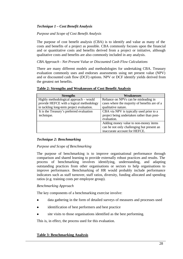# *Technique 1 – Cost Benefit Analysis*

*Purpose and Scope of Cost Benefit Analysis*

The purpose of cost benefit analysis (CBA) is to identify and value as many of the costs and benefits of a project as possible. CBA commonly focuses upon the financial and or quantitative costs and benefits derived from a project or initiative, although qualitative costs and benefits are also commonly included in any analysis.

# *CBA Approach - Net Present Value or Discounted Cash Flow Calculations*

There are many different models and methodologies for undertaking CBA. Treasury evaluation commonly uses and endorses assessments using net present value (NPV) and or discounted cash flow (DCF) options. NPV or DCF identify yields derived from the greatest net benefits.

| <b>Strengths</b>                          | Weaknesses                                    |
|-------------------------------------------|-----------------------------------------------|
| Highly methodological approach – would    | Reliance on NPVs can be misleading in         |
| provide HEFCE with a logical methodology  | cases where the majority of benefits are of a |
| in tackling long-term project evaluation. | qualitative nature.                           |
| It is the Treasury's preferred evaluation | CBA via NPV is typically used prior to a      |
| technique.                                | project being undertaken rather than post-    |
|                                           | evaluation.                                   |
|                                           | Adding money value to non-money items         |
|                                           | can be not only challenging but present an    |
|                                           | inaccurate account for HEFCE.                 |

#### **Table 2: Strengths and Weaknesses of Cost Benefit Analysis**

# *Technique 2: Benchmarking*

#### *Purpose and Scope of Benchmarking*

The purpose of benchmarking is to improve organisational performance through comparison and shared learning to provide externally robust practices and results. The process of benchmarking involves identifying, understanding, and adapting outstanding practices from other organisations or sectors to help organisations to improve performance. Benchmarking of HR would probably include performance indicators such as staff turnover, staff ratios, diversity, funding allocated and spending ratios (e.g. training costs per employee group).

# *Benchmarking Approach*

The key components of a benchmarking exercise involve:

- data gathering in the form of detailed surveys of measures and processes used
- identification of best performers and best practice
- site visits to those organisations identified as the best performing.

This is, in effect, the process used for this evaluation.

# **Table 3: Benchmarking Analysis**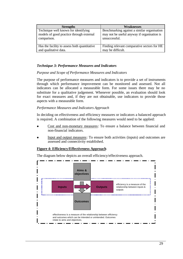| <b>Strengths</b>                             | Weaknesses                                  |
|----------------------------------------------|---------------------------------------------|
| Technique well known for identifying         | Benchmarking against a similar organisation |
| models of good practice through external     | may not be useful anyway if organisation is |
| comparison.                                  | unsuccessful.                               |
| Has the facility to assess both quantitative | Finding relevant comparative sectors for HE |
| and qualitative data.                        | may be difficult.                           |

# *Technique 3: Performance Measures and Indicators*

#### *Purpose and Scope of Performance Measures and Indicators*

The purpose of performance measures and indicators is to provide a set of instruments through which performance improvement can be monitored and assessed. Not all indicators can be allocated a measurable form. For some issues there may be no substitute for a qualitative judgement. Whenever possible, an evaluation should look for exact measures and, if they are not obtainable, use indicators to provide those aspects with a measurable form.

#### *Performance Measures and Indicators Approach*

In deciding on effectiveness and efficiency measures or indicators a balanced approach is required. A combination of the following measures would need to be applied:

- Cost and non-monetary measures: To ensure a balance between financial and non-financial indicators.
- Input and output measures: To ensure both activities (inputs) and outcomes are assessed and connectivity established.

#### **Figure 4: Efficiency/Effectiveness Approach**

The diagram below depicts an overall efficiency/effectiveness approach.

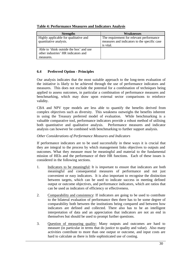| <b>Strengths</b>                                                                            | Weaknesses                                                                                            |
|---------------------------------------------------------------------------------------------|-------------------------------------------------------------------------------------------------------|
| Highly applicable for qualitative and<br>quantitative analysis.                             | The requirement for relevant performance<br>measures and indicators to the specific case<br>is vital. |
| Able to 'think outside the box' and use<br>other industries' HR indicators and<br>measures. |                                                                                                       |

# **Table 4: Performance Measures and Indicators Analysis**

# **6.4 Preferred Option - Principles**

Our analysis indicates that the most suitable approach to the long-term evaluation of the initiative is likely to be achieved through the use of performance indicators and measures. This does not exclude the potential for a combination of techniques being applied to assess outcomes, in particular a combination of performance measures and benchmarking, which may draw upon external sector comparisons to reinforce validity.

CBA and NPV type models are less able to quantify the benefits derived from complex objectives such as diversity. This weakness outweighs the benefits inherent in using the Treasury preferred model of evaluation. While benchmarking is a valuable comparative tool, performance indicators provide a robust method of utilising both quantitative and qualitative analysis. Performance measures and indicator analysis can however be combined with benchmarking to further support analysis.

# *Other Considerations of Performance Measures and Indicators*

If performance indicators are to be used successfully in these ways it is crucial that they are integral to the process by which management links objectives to outputs and outcomes. What they measure must be meaningful and material to the fundamental mission of HEIs and the performance of their HR functions. Each of these issues is considered in the following sections.

- 1. Indicators to be meaningful: It is important to ensure that indicators are both meaningful and consequential measures of performance and not just convenient or easy indicators. It is also important to recognise the distinction between targets, which can be used to indicate success in meeting defined output or outcome objectives, and performance indicators, which are ratios that can be used as indicators of efficiency or effectiveness.
- 2. Comparability and consistency: If indicators are going to be used to contribute to the bilateral evaluation of performance then there has to be some degree of comparability both between the institutions being compared and between how indicators are defined and collected. There also has to be an intelligent interpretation of data and an appreciation that indicators are not an end in themselves but should be used to prompt further questions.
- 3. Question of measuring quality: Many outputs and outcomes are hard to measure (in particular in terms that do justice to quality and value). Also many activities contribute to more than one output or outcome, and input costs are hard to calculate as there is little sophisticated use of costing.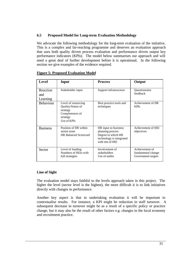# **6.5 Proposed Model for Long-term Evaluation Methodology**

We advocate the following methodology for the long-term evaluation of the initiative. This is a complex and far-reaching programme and deserves an evaluation approach that uses both quality driven process evaluation and performance driven output key performance indicators (KPIs). The model below summarises our approach and will need a great deal of further development before it is operational. In the following section we give examples of the evidence required.

| Level                       | <b>Input</b>                                                                                       | <b>Process</b>                                                                                                 | Output                                                     |
|-----------------------------|----------------------------------------------------------------------------------------------------|----------------------------------------------------------------------------------------------------------------|------------------------------------------------------------|
| Reaction<br>and<br>Learning | Stakeholder input                                                                                  | Support infrastructure                                                                                         | Questionnaire<br>feedback                                  |
| Behaviour                   | Level of resourcing<br>Quality/Status of<br>strategy<br>Completeness of<br>strategy<br>Use of KPIs | Best practice tools and<br>techniques                                                                          | Achievement of HR<br><b>KPIs</b>                           |
| <b>Business</b>             | Position of HR within<br>senior team<br><b>HR Balanced Scorecard</b>                               | HR input to business<br>planning process<br>Degree to which HR<br>technology is integrated<br>with rest of HEI | Achievement of HEI<br>objectives                           |
| Sector                      | Level of funding<br>Numbers of HEIs with<br>full strategies                                        | Involvement of<br>stakeholders<br>Use of audits                                                                | Achievement of<br>fundamental change<br>Government targets |

#### **Figure 5: Proposed Evaluation Model**

#### **Line of Sight**

The evaluation model stays faithful to the levels approach taken in this project. The higher the level (sector level is the highest), the more difficult it is to link initiatives directly with changes in performance.

Another key aspect is that in undertaking evaluation it will be important to contextualise results. For instance, a KPI might be reduction in staff turnover. A subsequent decrease in turnover might be as a result of a specific policy or practice change, but it may also be the result of other factors e.g. changes in the local economy and recruitment practice.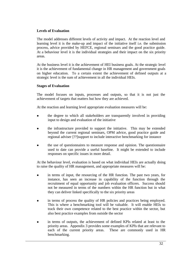# **Levels of Evaluation**

The model addresses different levels of activity and impact. At the reaction level and learning level it is the make-up and impact of the initiative itself i.e. the submission process, advice provided by HEFCE, regional seminars and the good practice guide. At a behaviour level it is the individual strategies and their impact on the six priority areas.

At the business level it is the achievement of HEI business goals. At the strategic level it is the achievement of fundamental change in HR management and government goals on higher education. To a certain extent the achievement of defined outputs at a strategic level is the sum of achievement in all the individual HEIs.

# **Stages of Evaluation**

The model focuses on inputs, processes and outputs, so that it is not just the achievement of targets that matters but how they are achieved.

At the reaction and learning level appropriate evaluation measures will be:

- the degree to which all stakeholders are transparently involved in providing input to design and evaluation of the initiative
- <sup>l</sup> the infrastructure provided to support the initiative. This may be extended beyond the current regional seminars, OPM advice, good practice guide and regional adviser [??]support to include interactive benchmarking for instance
- <sup>l</sup> the use of questionnaires to measure response and opinion. The questionnaire used to date can provide a useful baseline. It might be extended to include responses on specific issues in more detail.

At the behaviour level, evaluation is based on what individual HEIs are actually doing to raise the quality of HR management, and appropriate measures will be:

- in terms of input, the resourcing of the HR function. The past two years, for instance, has seen an increase in capability of the function through the recruitment of equal opportunity and job evaluation officers. Success should not be measured in terms of the numbers within the HR function but in what they can deliver linked specifically to the six priority areas
- in terms of process the quality of HR policies and practices being employed. This is where a benchmarking tool will be valuable. It will enable HEIs to track their own competence related to the best practice within the sector, but also best practice examples from outside the sector
- in terms of outputs, the achievement of defined KPIs related at least to the priority areas. Appendix 3 provides some examples of KPIs that are relevant to each of the current priority areas. These are commonly used in HR benchmarking.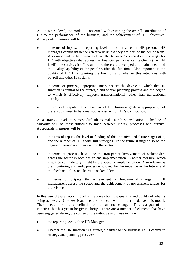At a business level, the model is concerned with assessing the overall contribution of HR to the performance of the business, and the achievement of HEI objectives. Appropriate measures will be:

- in terms of inputs, the reporting level of the most senior HR person. HR managers cannot influence effectively unless they are part of the senior team. Also important is the presence of an HR Balanced Scorecard i.e. a strategy for HR with objectives that address its financial performance, its clients (the HEI itself), the services it offers and how these are developed and maintained, and the quality/capability of the people within the function. Also important is the quality of HR IT supporting the function and whether this integrates with payroll and other IT systems
- in terms of process, appropriate measures are the degree to which the HR function is central to the strategic and annual planning process and the degree to which it effectively supports transformational rather than transactional activity
- in terms of outputs the achievement of HEI business goals is appropriate, but there would need to be a realistic assessment of HR's contribution.

At a strategic level, it is most difficult to make a robust evaluation. The line of causality will be most difficult to trace between inputs, processes and outputs. Appropriate measures will be:

- $\bullet$  in terms of inputs, the level of funding of this initiative and future stages of it, and the number of HEIs with full strategies. In the future it might also be the degree of earned autonomy within the sector
- in terms of process, it will be the transparent involvement of stakeholders across the sector in both design and implementation. Another measure, which might be contradictory, might be the speed of implementation. Also relevant is the monitoring and audit process employed for the initiative in the future, and the feedback of lessons learnt to stakeholders
- in terms of outputs, the achievement of fundamental change in HR management across the sector and the achievement of government targets for the HE sector.

In this way the evaluation model will address both the quantity and quality of what is being achieved. One key issue needs to be dealt within order to deliver this model. There needs to be a clear definition of 'fundamental change'. This is a goal of the initiative, but has yet to be given clarity. There are a number of elements that have been suggested during the course of the initiative and these include:

- the reporting level of the HR Manager
- whether the HR function is a strategic partner to the business i.e. is central to strategy and planning processes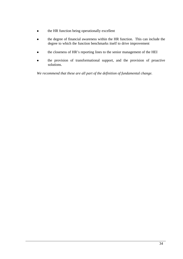- the HR function being operationally excellent
- the degree of financial awareness within the HR function. This can include the degree to which the function benchmarks itself to drive improvement
- the closeness of HR's reporting lines to the senior management of the HEI
- the provision of transformational support, and the provision of proactive solutions.

*We recommend that these are all part of the definition of fundamental change.*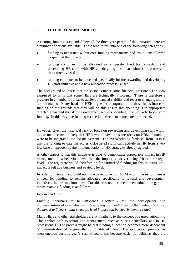# **7. FUTURE FUNDING MODELS**

Assuming funding is extended beyond the three-year period of this initiative there are a number of options available. These tend to fall into one of the following categories:

- funding is integrated within core funding mechanisms and institutions allowed to spend at their discretion
- funding continues to be allocated as a specific fund for rewarding and developing HE staff, with HEIs undergoing a similar submission process to that currently used
- funding continues to be allocated specifically for the rewarding and developing HE staff initiative and a new allocation process is used.

The background to this is that the sector is under some financial pressure. The view expressed to us is that some HEIs are technically insolvent. There is therefore a pressure in a number of areas to achieve financial stability and react to changing shortterm demands. Many heads of HEIs argue for incorporation of these funds into core funding on the grounds that they will be able ensure that spending is in appropriate targeted areas and that if the Government reduces spending, it is unlikely to cut core funding. In this way, the funding for the initiative is to some extent protected.

However, given the historical lack of focus on rewarding and developing staff within the sector it seems unlikely that HEIs would have the same focus on HRM if funding were to be integrated into the mainstream. The overwhelming feedback from HEIs is that the funding to date has either kick-started significant activity in HR from a very low base or speeded up the implementation of HR strategies already agreed.

Another aspect is that this initiative is able to demonstrate appreciable impact in HR management at a behaviour level, but the impact is not yet being felt at a strategic level. The argument would therefore be for earmarked funding for this initiative until impact is felt at a business and strategic level.

In order to maintain and build upon the development of HRM within the sector there is a need for funding to remain allocated specifically to reward and development initiatives, in the medium term. For this reason our recommendation in regard to mainstreaming funding is as follows.

#### *Recommendation*

*Funding continues to be allocated specifically for the development and implementation of rewarding and developing staff initiatives in the medium term i.e. the next 3 to 5 years, until strategic level impact can be clearly demonstrated.*

Many HEIs and other stakeholders are sympathetic to the concept of earned autonomy. This applies both to senior line management, such as Vice Chancellors, and to HR professionals. The process might be that funding allocation becomes more dependent on demonstration of progress than on quality of intent. The application process has been onerous but this year's second round has become easier for HEIs as they are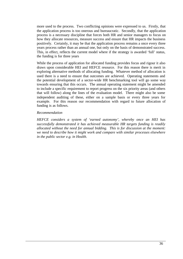more used to the process. Two conflicting opinions were expressed to us. Firstly, that the application process is too onerous and bureaucratic. Secondly, that the application process is a necessary discipline that forces both HR and senior managers to focus on how they allocate resources, measure success and ensure that HR impacts the business positively. Certainly, it may be that the application process remains a once every three years process rather than an annual one, but only on the basis of demonstrated success. This, in effect, reflects the current model where if the strategy is awarded 'full' status, the funding is for three years

While the process of application for allocated funding provides focus and rigour it also draws upon considerable HEI and HEFCE resource. For this reason there is merit in exploring alternative methods of allocating funding. Whatever method of allocation is used there is a need to ensure that outcomes are achieved. Operating statements and the potential development of a sector-wide HR benchmarking tool will go some way towards ensuring that this occurs. The annual operating statement might be amended to include a specific requirement to report progress on the six priority areas (and others that will follow) along the lines of the evaluation model. There might also be some independent auditing of these, either on a sample basis or every three years for example. For this reason our recommendation with regard to future allocation of funding is as follows.

#### *Recommendation*

*HEFCE considers a system of 'earned autonomy', whereby once an HEI has successfully demonstrated it has achieved measurable HR targets funding is readily allocated without the need for annual bidding. This is for discussion at the moment: we need to describe how it might work and compare with similar processes elsewhere in the public sector e.g. in Health.*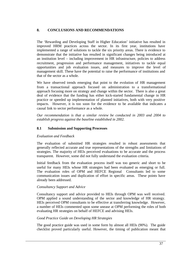# **8. CONCLUSIONS AND RECOMMENDATIONS**

The 'Rewarding and Developing Staff in Higher Education' initiative has resulted in improved HRM practices across the sector. In its first year, institutions have implemented a range of solutions to tackle the six priority areas. There is evidence to demonstrate that the initiative has resulted in significant changes being introduced at an institution level – including improvement in HR infrastructure, policies to address recruitment, progression and performance management, initiatives to tackle equal opportunities and job evaluation issues, and measures to improve the level of management skill. These have the potential to raise the performance of institutions and that of the sector as a whole.

We have observed trends emerging that point to the evolution of HR management from a transactional approach focused on administration to a transformational approach focusing more on strategy and change within the sector. There is also a great deal of evidence that the funding has either kick-started fundamental change in HR practice or speeded up implementation of planned initiatives, both with very positive impacts. However, it is too soon for the evidence to be available that indicates a causal link to sector performance as a whole.

*Our recommendation is that a similar review be conducted in 2003 and 2004 to establish progress against the baseline established in 2002.*

# **8.1 Submission and Supporting Processes**

# *Evaluation and Feedback*

The evaluation of submitted HR strategies resulted in robust assessments that generally reflected accurate and true representations of the strengths and limitations of strategies. The majority of HEIs perceived evaluations to be accurate and the process transparent. However, some did not fully understand the evaluation criteria.

Initial feedback from the evaluation process itself was too generic and short to be useful for many HEIs whose HR strategies had been evaluated as emerging or full. The evaluation roles of OPM and HEFCE Regional Consultants led to some communication issues and duplication of effort in specific areas. These points have already been addressed.

# *Consultancy Support and Advice*

Consultancy support and advice provided to HEIs through OPM was well received. OPM applied a sound understanding of the sector and knowledge of HR strategy. HEIs perceived OPM consultants to be effective at transferring knowledge. However, a number of HEIs commented upon some unease at OPM performing the roles of both evaluating HR strategies on behalf of HEFCE and advising HEIs.

# *Good Practice Guide on Developing HR Strategies*

The good practice guide was used in some form by almost all HEIs (90%). The guide checklist proved particularly useful. However, the timing of publication meant that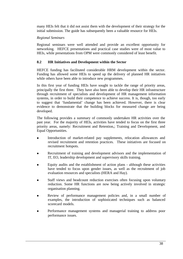many HEIs felt that it did not assist them with the development of their strategy for the initial submission. The guide has subsequently been a valuable resource for HEIs.

#### *Regional Seminars*

Regional seminars were well attended and provide an excellent opportunity for networking. HEFCE presentations and practical case studies were of most value to HEIs, while presentations from OPM were commonly considered of least benefit.

#### **8.2 HR Initiatives and Development within the Sector**

HEFCE funding has facilitated considerable HRM development within the sector. Funding has allowed some HEIs to speed up the delivery of planned HR initiatives while others have been able to introduce new programmes.

In this first year of funding HEIs have sought to tackle the range of priority areas, principally the first three. They have also been able to develop their HR infrastructure through recruitment of specialists and development of HR management information systems, in order to build their competence to achieve success. It is, though, too early to suggest that 'fundamental' change has been achieved. However, there is clear evidence to demonstrate that the building blocks for measured change are being developed.

The following provides a summary of commonly undertaken HR activities over the past year. For the majority of HEIs, activities have tended to focus on the first three priority areas, namely: Recruitment and Retention,; Training and Development, and Equal Opportunities.

- Introduction of market-related pay supplements, relocation allowances and revised recruitment and retention practices. These initiatives are focused on recruitment hotspots.
- Recruitment of training and development advisors and the implementation of IT, EO, leadership development and supervisory skills training.
- <sup>l</sup> Equity audits and the establishment of action plans although these activities have tended to focus upon gender issues, as well as the recruitment of job evaluation resources and specialists (HERA and Hay).
- Staff views and headcount reduction exercises often focusing upon voluntary reduction. Some HR functions are now being actively involved in strategic organisation planning.
- Review of performance management policies and, in a small number of examples, the introduction of sophisticated techniques such as balanced scorecard models.
- <sup>l</sup> Performance management systems and managerial training to address poor performance issues.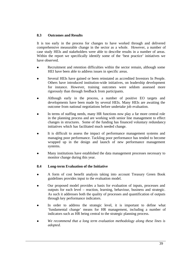# **8.3 Outcomes and Results**

It is too early in the process for changes to have worked through and delivered comprehensive measurable change in the sector as a whole. However, a number of case study HEIs and stakeholders were able to describe results in a number of areas. Within the report we specifically identify some of the 'best practice' initiatives we have observed.

- Recruitment and retention difficulties within the sector remain, although some HEI have been able to address issues in specific areas.
- <sup>l</sup> Several HEIs have gained or been reinstated as accredited Investors In People. Others have introduced institution-wide initiatives, on leadership development for instance. However, training outcomes were seldom assessed more rigorously than through feedback from participants.
- <sup>l</sup> Although early in the process, a number of positive EO targets and developments have been made by several HEIs. Many HEIs are awaiting the outcome from national negotiations before undertake job evaluation.
- In terms of staffing needs, many HR functions now play a far more central role in the planning process and are working with senior line management to effect changes in structures. Some of the funding has financed voluntary redundancy initiatives which has facilitated much needed change.
- It is difficult to assess the impact of performance management systems and managing poor performance. Tackling poor performance has tended to become wrapped up in the design and launch of new performance management systems.
- <sup>l</sup> Many institutions have established the data management processes necessary to monitor change during this year.

# **8.4 Long-term Evaluation of the Initiative**

- <sup>l</sup> A form of cost benefit analysis taking into account Treasury Green Book guidelines provides input to the evaluation model.
- <sup>l</sup> Our proposed model provides a basis for evaluation of inputs, processes and outputs for each level – reaction, learning, behaviour, business and strategic. As such it addresses both the quality of processes and quantification of outputs through key performance indicators.
- In order to address the strategic level, it is important to define what 'fundamental change' means for HR management, including a number of indicators such as HR being central to the strategic planning process.
- <sup>l</sup> *We recommend that a long term evaluation methodology along these lines is adopted.*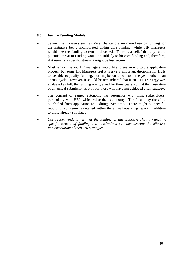# **8.5 Future Funding Models**

- Senior line managers such as Vice Chancellors are more keen on funding for the initiative being incorporated within core funding, whilst HR managers would like the funding to remain allocated. There is a belief that any future potential threat to funding would be unlikely to hit core funding and, therefore, if it remains a specific stream it might be less secure.
- <sup>l</sup> Most senior line and HR managers would like to see an end to the application process, but some HR Managers feel it is a very important discipline for HEIs to be able to justify funding, but maybe on a two to three year rather than annual cycle. However, it should be remembered that if an HEI's strategy was evaluated as full, the funding was granted for three years, so that the frustration of an annual submission is only for those who have not achieved a full strategy.
- The concept of earned autonomy has resonance with most stakeholders, particularly with HEIs which value their autonomy. The focus may therefore be shifted from application to auditing over time. There might be specific reporting requirements detailed within the annual operating report in addition to those already stipulated.
- <sup>l</sup> *Our recommendation is that the funding of this initiative should remain a specific stream of funding until institutions can demonstrate the effective implementation of their HR strategies.*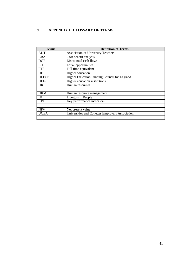# **9. APPENDIX 1: GLOSSARY OF TERMS**

| <b>Terms</b> | <b>Definition of Terms</b>                      |  |  |
|--------------|-------------------------------------------------|--|--|
| <b>AUT</b>   | <b>Association of University Teachers</b>       |  |  |
| <b>CBA</b>   | Cost benefit analysis                           |  |  |
| <b>DCF</b>   | Discounted cash flows                           |  |  |
| EO           | Equal opportunities                             |  |  |
| <b>FTE</b>   | Full-time equivalent                            |  |  |
| <b>HE</b>    | Higher education                                |  |  |
| <b>HEFCE</b> | Higher Education Funding Council for England    |  |  |
| <b>HEIs</b>  | Higher education institutions                   |  |  |
| <b>HR</b>    | Human resources                                 |  |  |
|              |                                                 |  |  |
| <b>HRM</b>   | Human resource management                       |  |  |
| $\mathbf{H}$ | Investors in People                             |  |  |
| <b>KPI</b>   | Key performance indicators                      |  |  |
|              |                                                 |  |  |
| <b>NPV</b>   | Net present value                               |  |  |
| <b>UCEA</b>  | Universities and Colleges Employers Association |  |  |
|              |                                                 |  |  |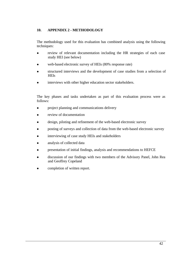# **10. APPENDIX 2 - METHODOLOGY**

The methodology used for this evaluation has combined analysis using the following techniques:

- review of relevant documentation including the HR strategies of each case study HEI (see below)
- web-based electronic survey of HEIs (80% response rate)
- structured interviews and the development of case studies from a selection of **HEIs**
- interviews with other higher education sector stakeholders.

The key phases and tasks undertaken as part of this evaluation process were as follows:

- project planning and communications delivery
- review of documentation
- design, piloting and refinement of the web-based electronic survey
- posting of surveys and collection of data from the web-based electronic survey
- interviewing of case study HEIs and stakeholders
- analysis of collected data
- <sup>l</sup> presentation of initial findings, analysis and recommendations to HEFCE
- discussion of our findings with two members of the Advisory Panel, John Rea and Geoffrey Copeland
- completion of written report.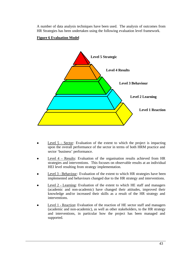A number of data analysis techniques have been used. The analysis of outcomes from HR Strategies has been undertaken using the following evaluation level framework.

# **Figure 6 Evaluation Model**



- Level  $5 -$  Sector: Evaluation of the extent to which the project is impacting upon the overall performance of the sector in terms of both HRM practice and sector 'business' performance.
- Level 4 Results: Evaluation of the organisation results achieved from HR strategies and interventions. This focuses on observable results at an individual HEI level resulting from strategy implementation.
- Level 3 Behaviour: Evaluation of the extent to which HR strategies have been implemented and behaviours changed due to the HR strategy and interventions.
- Level 2 Learning: Evaluation of the extent to which HE staff and managers (academic and non-academic) have changed their attitudes, improved their knowledge and/or increased their skills as a result of the HR strategy and interventions.
- <sup>l</sup> Level 1 Reaction: Evaluation of the reaction of HE sector staff and managers (academic and non-academic), as well as other stakeholders, to the HR strategy and interventions, in particular how the project has been managed and supported.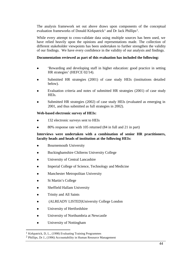The analysis framework set out above draws upon components of the conceptual evaluation frameworks of Donald Kirkpatrick<sup>1</sup> and Dr Jack Phillips<sup>2</sup>.

While every attempt to cross-validate data using multiple sources has been used, we have relied heavily upon the opinions and representations made. The collection of different stakeholder viewpoints has been undertaken to further strengthen the validity of our findings. We have every confidence in the validity of our analysis and findings.

## **Documentation reviewed as part of this evaluation has included the following:**

- <sup>l</sup> 'Rewarding and developing staff in higher education: good practice in setting HR strategies' (HEFCE 02/14).
- Submitted HR strategies (2001) of case study HEIs (institutions detailed below).
- Evaluation criteria and notes of submitted HR strategies (2001) of case study HEIs.
- Submitted HR strategies (2002) of case study HEIs (evaluated as emerging in 2001, and thus submitted as full strategies in 2002).

# **Web-based electronic survey of HEIs:**

- <sup>l</sup> 132 electronic surveys sent to HEIs
- <sup>l</sup> 80% response rate with 105 returned (84 in full and 21 in part)

# **Interviews were undertaken with a combination of senior HR practitioners, faculty heads and heads of institution at the following HEIs:**

- Bournemouth University
- <sup>l</sup> Buckinghamshire Chilterns University College
- University of Central Lancashire
- Imperial College of Science, Technology and Medicine
- Manchester Metropolitan University
- St Martin's College
- Sheffield Hallam University
- **Trinity and All Saints**
- (ALREADY LISTED)University College London
- University of Hertfordshire
- <sup>l</sup> University of Northumbria at Newcastle
- University of Nottingham

l

<sup>1</sup> Kirkpatrick, D, L., (1998) Evaluating Training Programmes

<sup>2</sup> Phillips, Dr J., (1996) Accountability in Human Resource Management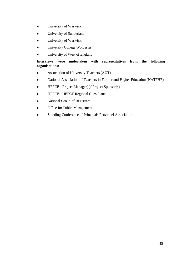- **•** University of Warwick
- University of Sunderland
- University of Warwick
- University College Worcester
- University of West of England

# **Interviews were undertaken with representatives from the following organisations:**

- **•** Association of University Teachers (AUT)
- National Association of Teachers in Further and Higher Education (NATFHE)
- <sup>l</sup> HEFCE Project Manager(s)/ Project Sponsor(s)
- HEFCE HEFCE Regional Consultants
- National Group of Registrars
- Office for Public Management
- Standing Conference of Principals Personnel Association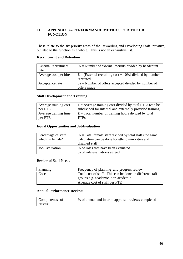# **11. APPENDIX 3 – PERFORMANCE METRICS FOR THE HR FUNCTION**

These relate to the six priority areas of the Rewarding and Developing Staff initiative, but also to the function as a whole. This is not an exhaustive list.

## **Recruitment and Retention**

| External recruitment  | $%$ = Number of external recruits divided by headcount                         |
|-----------------------|--------------------------------------------------------------------------------|
| rate                  |                                                                                |
| Average cost per hire | $\mathbf{f} =$ (External recruiting cost + 10%) divided by number<br>recruited |
| Acceptance rate       | $%$ = Number of offers accepted divided by number of<br>offers made            |

# **Staff Development and Training**

| Average training cost | $\mathbf{f} \in \mathbf{A}$ express a training cost divided by total FTEs (can be                                                                                                                                                                                                                             |
|-----------------------|---------------------------------------------------------------------------------------------------------------------------------------------------------------------------------------------------------------------------------------------------------------------------------------------------------------|
| per FTE               | subdivided for internal and externally provided training                                                                                                                                                                                                                                                      |
| Average training time | $\mathbf{f} \in \mathcal{F}$ for $\mathbf{f}$ at $\mathbf{f}$ at $\mathbf{f}$ at $\mathbf{f}$ at $\mathbf{f}$ at $\mathbf{f}$ at $\mathbf{f}$ at $\mathbf{f}$ at $\mathbf{f}$ at $\mathbf{f}$ at $\mathbf{f}$ at $\mathbf{f}$ at $\mathbf{f}$ at $\mathbf{f}$ at $\mathbf{f}$ at $\mathbf{f}$ at $\mathbf{f}$ |
| per FTE               | <b>FTEs</b>                                                                                                                                                                                                                                                                                                   |

# **Equal Opportunities and JobEvaluation**

| Percentage of staff<br>which is female* | $%$ = Total female staff divided by total staff (the same<br>calculation can be done for ethnic minorities and<br>disabled staff) |
|-----------------------------------------|-----------------------------------------------------------------------------------------------------------------------------------|
| <b>Job Evaluation</b>                   | % of roles that have been evaluated<br>% of role evaluations agreed                                                               |

# Review of Staff Needs

| Planning | Frequency of planning and progress review                |
|----------|----------------------------------------------------------|
| Costs    | Total cost of staff. This can be done on different staff |
|          | groups e.g. academic, non-academic                       |
|          | Average cost of staff per FTE                            |

# **Annual Performance Reviews**

| Completeness of | % of annual and interim appraisal reviews completed |
|-----------------|-----------------------------------------------------|
| process         |                                                     |